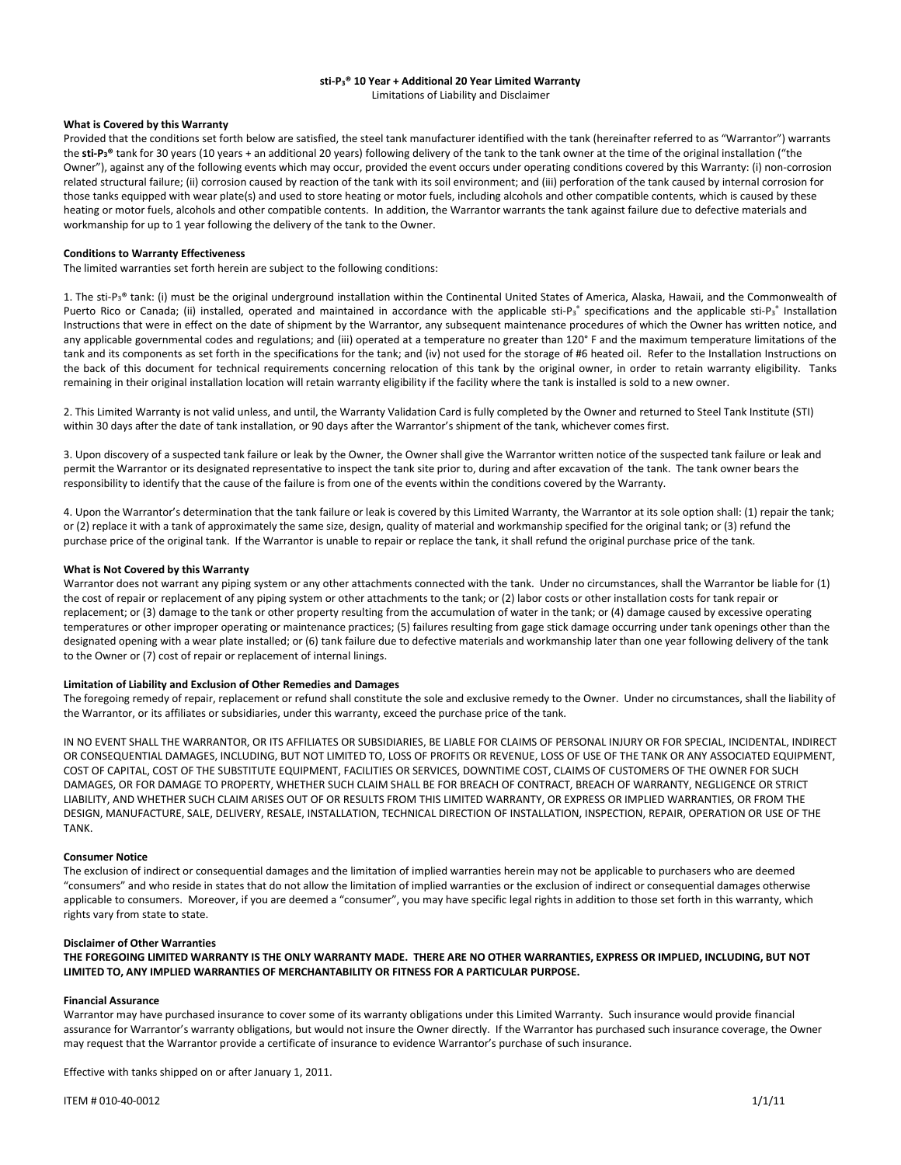# **sti-P3® 10 Year + Additional 20 Year Limited Warranty**

Limitations of Liability and Disclaimer

#### **What is Covered by this Warranty**

Provided that the conditions set forth below are satisfied, the steel tank manufacturer identified with the tank (hereinafter referred to as "Warrantor") warrants the **sti-P3®** tank for 30 years (10 years + an additional 20 years) following delivery of the tank to the tank owner at the time of the original installation ("the Owner"), against any of the following events which may occur, provided the event occurs under operating conditions covered by this Warranty: (i) non-corrosion related structural failure; (ii) corrosion caused by reaction of the tank with its soil environment; and (iii) perforation of the tank caused by internal corrosion for those tanks equipped with wear plate(s) and used to store heating or motor fuels, including alcohols and other compatible contents, which is caused by these heating or motor fuels, alcohols and other compatible contents. In addition, the Warrantor warrants the tank against failure due to defective materials and workmanship for up to 1 year following the delivery of the tank to the Owner.

#### **Conditions to Warranty Effectiveness**

The limited warranties set forth herein are subject to the following conditions:

1. The sti-P<sub>3</sub>® tank: (i) must be the original underground installation within the Continental United States of America, Alaska, Hawaii, and the Commonwealth of Puerto Rico or Canada; (ii) installed, operated and maintained in accordance with the applicable sti-P<sub>3</sub><sup>\*</sup> specifications and the applicable sti-P<sub>3</sub><sup>\*</sup> Installation Instructions that were in effect on the date of shipment by the Warrantor, any subsequent maintenance procedures of which the Owner has written notice, and any applicable governmental codes and regulations; and (iii) operated at a temperature no greater than 120° F and the maximum temperature limitations of the tank and its components as set forth in the specifications for the tank; and (iv) not used for the storage of #6 heated oil. Refer to the Installation Instructions on the back of this document for technical requirements concerning relocation of this tank by the original owner, in order to retain warranty eligibility. Tanks remaining in their original installation location will retain warranty eligibility if the facility where the tank is installed is sold to a new owner.

2. This Limited Warranty is not valid unless, and until, the Warranty Validation Card is fully completed by the Owner and returned to Steel Tank Institute (STI) within 30 days after the date of tank installation, or 90 days after the Warrantor's shipment of the tank, whichever comes first.

3. Upon discovery of a suspected tank failure or leak by the Owner, the Owner shall give the Warrantor written notice of the suspected tank failure or leak and permit the Warrantor or its designated representative to inspect the tank site prior to, during and after excavation of the tank. The tank owner bears the responsibility to identify that the cause of the failure is from one of the events within the conditions covered by the Warranty.

4. Upon the Warrantor's determination that the tank failure or leak is covered by this Limited Warranty, the Warrantor at its sole option shall: (1) repair the tank; or (2) replace it with a tank of approximately the same size, design, quality of material and workmanship specified for the original tank; or (3) refund the purchase price of the original tank. If the Warrantor is unable to repair or replace the tank, it shall refund the original purchase price of the tank.

#### **What is Not Covered by this Warranty**

Warrantor does not warrant any piping system or any other attachments connected with the tank. Under no circumstances, shall the Warrantor be liable for (1) the cost of repair or replacement of any piping system or other attachments to the tank; or (2) labor costs or other installation costs for tank repair or replacement; or (3) damage to the tank or other property resulting from the accumulation of water in the tank; or (4) damage caused by excessive operating temperatures or other improper operating or maintenance practices; (5) failures resulting from gage stick damage occurring under tank openings other than the designated opening with a wear plate installed; or (6) tank failure due to defective materials and workmanship later than one year following delivery of the tank to the Owner or (7) cost of repair or replacement of internal linings.

#### **Limitation of Liability and Exclusion of Other Remedies and Damages**

The foregoing remedy of repair, replacement or refund shall constitute the sole and exclusive remedy to the Owner. Under no circumstances, shall the liability of the Warrantor, or its affiliates or subsidiaries, under this warranty, exceed the purchase price of the tank.

IN NO EVENT SHALL THE WARRANTOR, OR ITS AFFILIATES OR SUBSIDIARIES, BE LIABLE FOR CLAIMS OF PERSONAL INJURY OR FOR SPECIAL, INCIDENTAL, INDIRECT OR CONSEQUENTIAL DAMAGES, INCLUDING, BUT NOT LIMITED TO, LOSS OF PROFITS OR REVENUE, LOSS OF USE OF THE TANK OR ANY ASSOCIATED EQUIPMENT, COST OF CAPITAL, COST OF THE SUBSTITUTE EQUIPMENT, FACILITIES OR SERVICES, DOWNTIME COST, CLAIMS OF CUSTOMERS OF THE OWNER FOR SUCH DAMAGES, OR FOR DAMAGE TO PROPERTY, WHETHER SUCH CLAIM SHALL BE FOR BREACH OF CONTRACT, BREACH OF WARRANTY, NEGLIGENCE OR STRICT LIABILITY, AND WHETHER SUCH CLAIM ARISES OUT OF OR RESULTS FROM THIS LIMITED WARRANTY, OR EXPRESS OR IMPLIED WARRANTIES, OR FROM THE DESIGN, MANUFACTURE, SALE, DELIVERY, RESALE, INSTALLATION, TECHNICAL DIRECTION OF INSTALLATION, INSPECTION, REPAIR, OPERATION OR USE OF THE TANK.

#### **Consumer Notice**

The exclusion of indirect or consequential damages and the limitation of implied warranties herein may not be applicable to purchasers who are deemed "consumers" and who reside in states that do not allow the limitation of implied warranties or the exclusion of indirect or consequential damages otherwise applicable to consumers. Moreover, if you are deemed a "consumer", you may have specific legal rights in addition to those set forth in this warranty, which rights vary from state to state.

#### **Disclaimer of Other Warranties**

**THE FOREGOING LIMITED WARRANTY IS THE ONLY WARRANTY MADE. THERE ARE NO OTHER WARRANTIES, EXPRESS OR IMPLIED, INCLUDING, BUT NOT LIMITED TO, ANY IMPLIED WARRANTIES OF MERCHANTABILITY OR FITNESS FOR A PARTICULAR PURPOSE.** 

#### **Financial Assurance**

Warrantor may have purchased insurance to cover some of its warranty obligations under this Limited Warranty. Such insurance would provide financial assurance for Warrantor's warranty obligations, but would not insure the Owner directly. If the Warrantor has purchased such insurance coverage, the Owner may request that the Warrantor provide a certificate of insurance to evidence Warrantor's purchase of such insurance.

Effective with tanks shipped on or after January 1, 2011.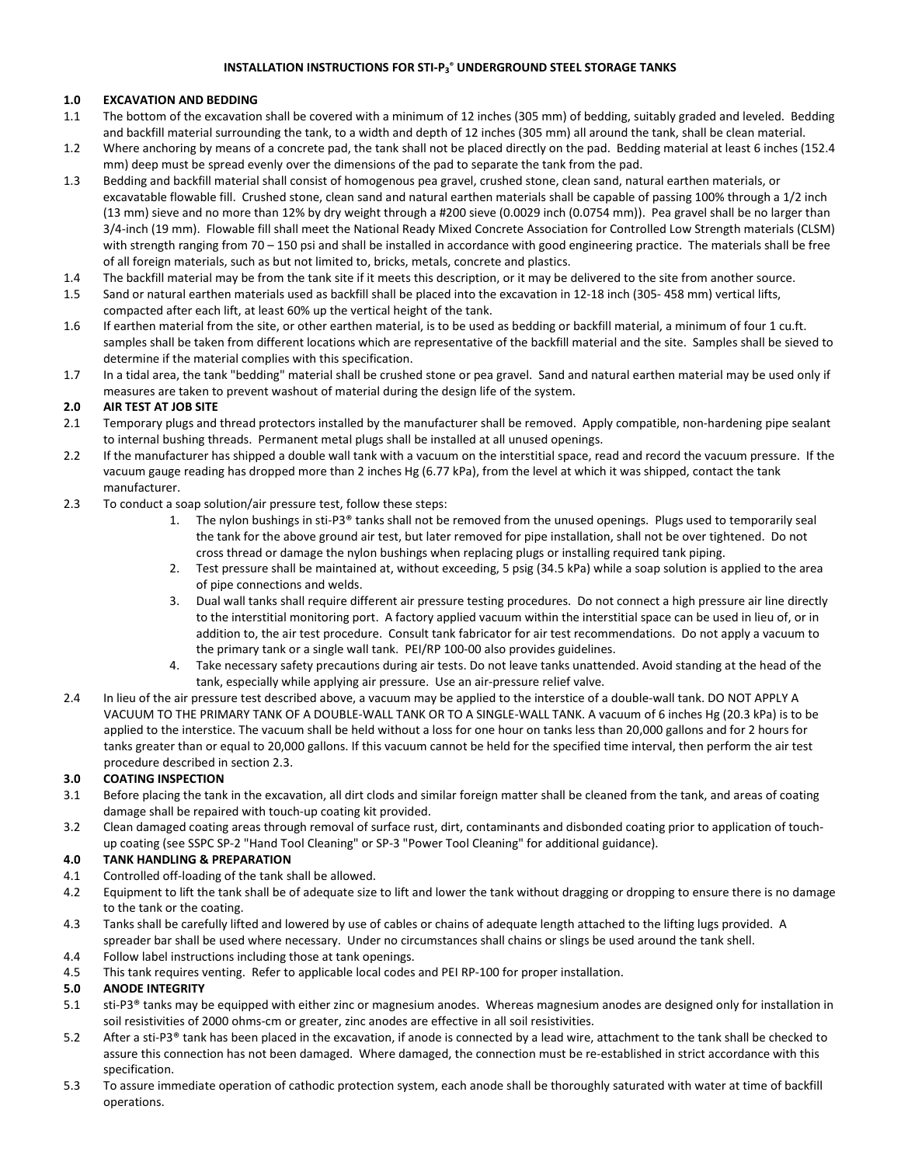# **INSTALLATION INSTRUCTIONS FOR STI-P3 ® UNDERGROUND STEEL STORAGE TANKS**

## **1.0 EXCAVATION AND BEDDING**

- 1.1 The bottom of the excavation shall be covered with a minimum of 12 inches (305 mm) of bedding, suitably graded and leveled. Bedding and backfill material surrounding the tank, to a width and depth of 12 inches (305 mm) all around the tank, shall be clean material.
- 1.2 Where anchoring by means of a concrete pad, the tank shall not be placed directly on the pad. Bedding material at least 6 inches (152.4 mm) deep must be spread evenly over the dimensions of the pad to separate the tank from the pad.
- 1.3 Bedding and backfill material shall consist of homogenous pea gravel, crushed stone, clean sand, natural earthen materials, or excavatable flowable fill. Crushed stone, clean sand and natural earthen materials shall be capable of passing 100% through a 1/2 inch (13 mm) sieve and no more than 12% by dry weight through a #200 sieve (0.0029 inch (0.0754 mm)). Pea gravel shall be no larger than 3/4-inch (19 mm). Flowable fill shall meet the National Ready Mixed Concrete Association for Controlled Low Strength materials (CLSM) with strength ranging from 70 – 150 psi and shall be installed in accordance with good engineering practice. The materials shall be free of all foreign materials, such as but not limited to, bricks, metals, concrete and plastics.
- 1.4 The backfill material may be from the tank site if it meets this description, or it may be delivered to the site from another source.
- 1.5 Sand or natural earthen materials used as backfill shall be placed into the excavation in 12-18 inch (305- 458 mm) vertical lifts, compacted after each lift, at least 60% up the vertical height of the tank.
- 1.6 If earthen material from the site, or other earthen material, is to be used as bedding or backfill material, a minimum of four 1 cu.ft. samples shall be taken from different locations which are representative of the backfill material and the site. Samples shall be sieved to determine if the material complies with this specification.
- 1.7 In a tidal area, the tank "bedding" material shall be crushed stone or pea gravel. Sand and natural earthen material may be used only if measures are taken to prevent washout of material during the design life of the system.

### **2.0 AIR TEST AT JOB SITE**

- 2.1 Temporary plugs and thread protectors installed by the manufacturer shall be removed. Apply compatible, non-hardening pipe sealant to internal bushing threads. Permanent metal plugs shall be installed at all unused openings.
- 2.2 If the manufacturer has shipped a double wall tank with a vacuum on the interstitial space, read and record the vacuum pressure. If the vacuum gauge reading has dropped more than 2 inches Hg (6.77 kPa), from the level at which it was shipped, contact the tank manufacturer.
- 2.3 To conduct a soap solution/air pressure test, follow these steps:
	- 1. The nylon bushings in sti-P3® tanks shall not be removed from the unused openings. Plugs used to temporarily seal the tank for the above ground air test, but later removed for pipe installation, shall not be over tightened. Do not cross thread or damage the nylon bushings when replacing plugs or installing required tank piping.
	- 2. Test pressure shall be maintained at, without exceeding, 5 psig (34.5 kPa) while a soap solution is applied to the area of pipe connections and welds.
	- 3. Dual wall tanks shall require different air pressure testing procedures. Do not connect a high pressure air line directly to the interstitial monitoring port. A factory applied vacuum within the interstitial space can be used in lieu of, or in addition to, the air test procedure. Consult tank fabricator for air test recommendations. Do not apply a vacuum to the primary tank or a single wall tank. PEI/RP 100-00 also provides guidelines.
	- 4. Take necessary safety precautions during air tests. Do not leave tanks unattended. Avoid standing at the head of the tank, especially while applying air pressure. Use an air-pressure relief valve.
- 2.4 In lieu of the air pressure test described above, a vacuum may be applied to the interstice of a double-wall tank. DO NOT APPLY A VACUUM TO THE PRIMARY TANK OF A DOUBLE-WALL TANK OR TO A SINGLE-WALL TANK. A vacuum of 6 inches Hg (20.3 kPa) is to be applied to the interstice. The vacuum shall be held without a loss for one hour on tanks less than 20,000 gallons and for 2 hours for tanks greater than or equal to 20,000 gallons. If this vacuum cannot be held for the specified time interval, then perform the air test procedure described in section 2.3.

### **3.0 COATING INSPECTION**

- 3.1 Before placing the tank in the excavation, all dirt clods and similar foreign matter shall be cleaned from the tank, and areas of coating damage shall be repaired with touch-up coating kit provided.
- 3.2 Clean damaged coating areas through removal of surface rust, dirt, contaminants and disbonded coating prior to application of touchup coating (see SSPC SP-2 "Hand Tool Cleaning" or SP-3 "Power Tool Cleaning" for additional guidance).

### **4.0 TANK HANDLING & PREPARATION**

- 4.1 Controlled off-loading of the tank shall be allowed.
- 4.2 Equipment to lift the tank shall be of adequate size to lift and lower the tank without dragging or dropping to ensure there is no damage to the tank or the coating.
- 4.3 Tanks shall be carefully lifted and lowered by use of cables or chains of adequate length attached to the lifting lugs provided. A spreader bar shall be used where necessary. Under no circumstances shall chains or slings be used around the tank shell.
- 4.4 Follow label instructions including those at tank openings.
- 4.5 This tank requires venting. Refer to applicable local codes and PEI RP-100 for proper installation.

# **5.0 ANODE INTEGRITY**

- 5.1 sti-P3® tanks may be equipped with either zinc or magnesium anodes. Whereas magnesium anodes are designed only for installation in soil resistivities of 2000 ohms-cm or greater, zinc anodes are effective in all soil resistivities.
- 5.2 After a sti-P3® tank has been placed in the excavation, if anode is connected by a lead wire, attachment to the tank shall be checked to assure this connection has not been damaged. Where damaged, the connection must be re-established in strict accordance with this specification.
- 5.3 To assure immediate operation of cathodic protection system, each anode shall be thoroughly saturated with water at time of backfill operations.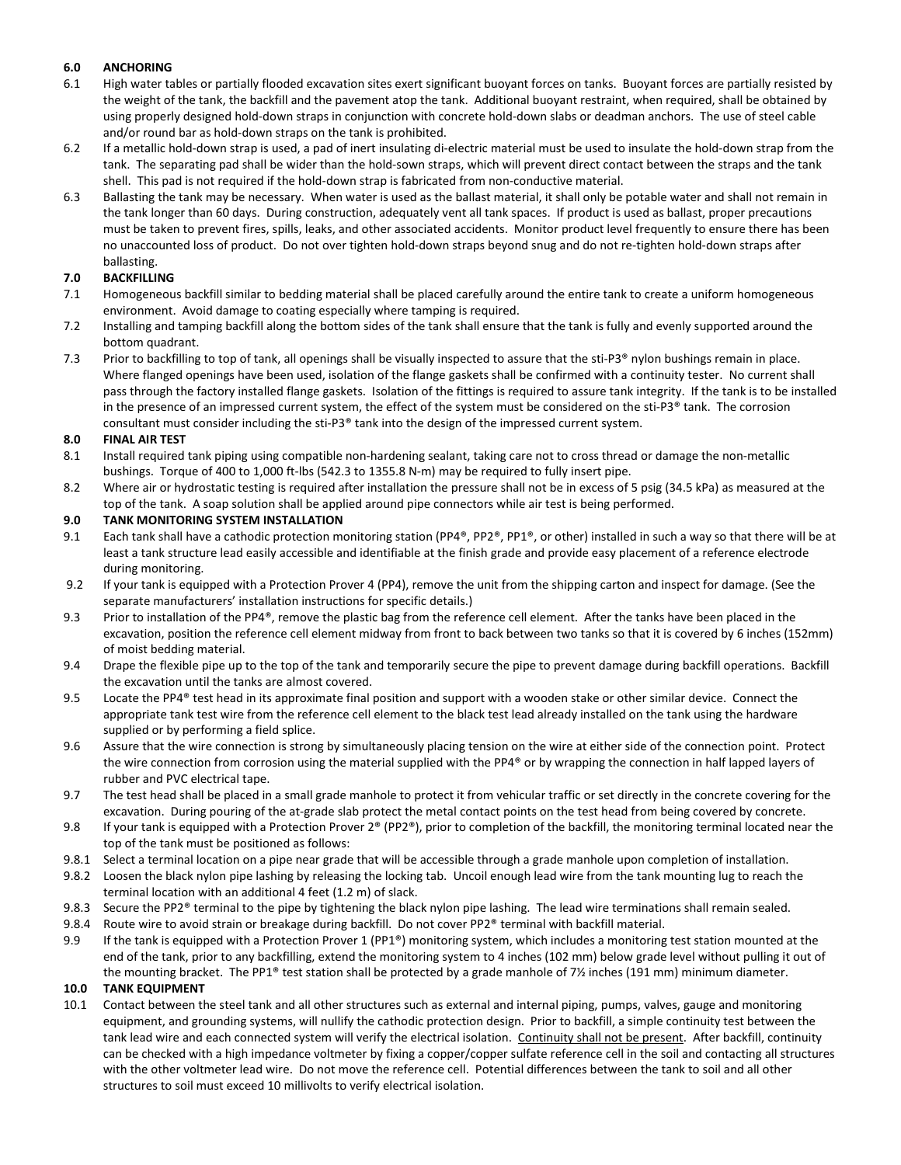# **6.0 ANCHORING**

- 6.1 High water tables or partially flooded excavation sites exert significant buoyant forces on tanks. Buoyant forces are partially resisted by the weight of the tank, the backfill and the pavement atop the tank. Additional buoyant restraint, when required, shall be obtained by using properly designed hold-down straps in conjunction with concrete hold-down slabs or deadman anchors. The use of steel cable and/or round bar as hold-down straps on the tank is prohibited.
- 6.2 If a metallic hold-down strap is used, a pad of inert insulating di-electric material must be used to insulate the hold-down strap from the tank. The separating pad shall be wider than the hold-sown straps, which will prevent direct contact between the straps and the tank shell. This pad is not required if the hold-down strap is fabricated from non-conductive material.
- 6.3 Ballasting the tank may be necessary. When water is used as the ballast material, it shall only be potable water and shall not remain in the tank longer than 60 days. During construction, adequately vent all tank spaces. If product is used as ballast, proper precautions must be taken to prevent fires, spills, leaks, and other associated accidents. Monitor product level frequently to ensure there has been no unaccounted loss of product. Do not over tighten hold-down straps beyond snug and do not re-tighten hold-down straps after ballasting.

## **7.0 BACKFILLING**

- 7.1 Homogeneous backfill similar to bedding material shall be placed carefully around the entire tank to create a uniform homogeneous environment. Avoid damage to coating especially where tamping is required.
- 7.2 Installing and tamping backfill along the bottom sides of the tank shall ensure that the tank is fully and evenly supported around the bottom quadrant.
- 7.3 Prior to backfilling to top of tank, all openings shall be visually inspected to assure that the sti-P3® nylon bushings remain in place. Where flanged openings have been used, isolation of the flange gaskets shall be confirmed with a continuity tester. No current shall pass through the factory installed flange gaskets. Isolation of the fittings is required to assure tank integrity. If the tank is to be installed in the presence of an impressed current system, the effect of the system must be considered on the sti-P3® tank. The corrosion consultant must consider including the sti-P3® tank into the design of the impressed current system.

### **8.0 FINAL AIR TEST**

- 8.1 Install required tank piping using compatible non-hardening sealant, taking care not to cross thread or damage the non-metallic bushings. Torque of 400 to 1,000 ft-lbs (542.3 to 1355.8 N-m) may be required to fully insert pipe.
- 8.2 Where air or hydrostatic testing is required after installation the pressure shall not be in excess of 5 psig (34.5 kPa) as measured at the top of the tank. A soap solution shall be applied around pipe connectors while air test is being performed.

#### **9.0 TANK MONITORING SYSTEM INSTALLATION**

- 9.1 Each tank shall have a cathodic protection monitoring station (PP4®, PP2®, PP1®, or other) installed in such a way so that there will be at least a tank structure lead easily accessible and identifiable at the finish grade and provide easy placement of a reference electrode during monitoring.
- 9.2 If your tank is equipped with a Protection Prover 4 (PP4), remove the unit from the shipping carton and inspect for damage. (See the separate manufacturers' installation instructions for specific details.)
- 9.3 Prior to installation of the PP4®, remove the plastic bag from the reference cell element. After the tanks have been placed in the excavation, position the reference cell element midway from front to back between two tanks so that it is covered by 6 inches (152mm) of moist bedding material.
- 9.4 Drape the flexible pipe up to the top of the tank and temporarily secure the pipe to prevent damage during backfill operations. Backfill the excavation until the tanks are almost covered.
- 9.5 Locate the PP4<sup>®</sup> test head in its approximate final position and support with a wooden stake or other similar device. Connect the appropriate tank test wire from the reference cell element to the black test lead already installed on the tank using the hardware supplied or by performing a field splice.
- 9.6 Assure that the wire connection is strong by simultaneously placing tension on the wire at either side of the connection point. Protect the wire connection from corrosion using the material supplied with the PP4® or by wrapping the connection in half lapped layers of rubber and PVC electrical tape.
- 9.7 The test head shall be placed in a small grade manhole to protect it from vehicular traffic or set directly in the concrete covering for the excavation. During pouring of the at-grade slab protect the metal contact points on the test head from being covered by concrete.
- 9.8 If your tank is equipped with a Protection Prover  $2^{\circ}$  (PP2 $^{\circ}$ ), prior to completion of the backfill, the monitoring terminal located near the top of the tank must be positioned as follows:
- 9.8.1 Select a terminal location on a pipe near grade that will be accessible through a grade manhole upon completion of installation.
- 9.8.2 Loosen the black nylon pipe lashing by releasing the locking tab. Uncoil enough lead wire from the tank mounting lug to reach the terminal location with an additional 4 feet (1.2 m) of slack.
- 9.8.3 Secure the PP2® terminal to the pipe by tightening the black nylon pipe lashing. The lead wire terminations shall remain sealed.
- 9.8.4 Route wire to avoid strain or breakage during backfill. Do not cover PP2® terminal with backfill material.
- 9.9 If the tank is equipped with a Protection Prover 1 (PP1<sup>®</sup>) monitoring system, which includes a monitoring test station mounted at the end of the tank, prior to any backfilling, extend the monitoring system to 4 inches (102 mm) below grade level without pulling it out of the mounting bracket. The PP1® test station shall be protected by a grade manhole of  $7\frac{\cancel{1}}{1}$  inches (191 mm) minimum diameter.

### **10.0 TANK EQUIPMENT**

10.1 Contact between the steel tank and all other structures such as external and internal piping, pumps, valves, gauge and monitoring equipment, and grounding systems, will nullify the cathodic protection design. Prior to backfill, a simple continuity test between the tank lead wire and each connected system will verify the electrical isolation. Continuity shall not be present. After backfill, continuity can be checked with a high impedance voltmeter by fixing a copper/copper sulfate reference cell in the soil and contacting all structures with the other voltmeter lead wire. Do not move the reference cell. Potential differences between the tank to soil and all other structures to soil must exceed 10 millivolts to verify electrical isolation.